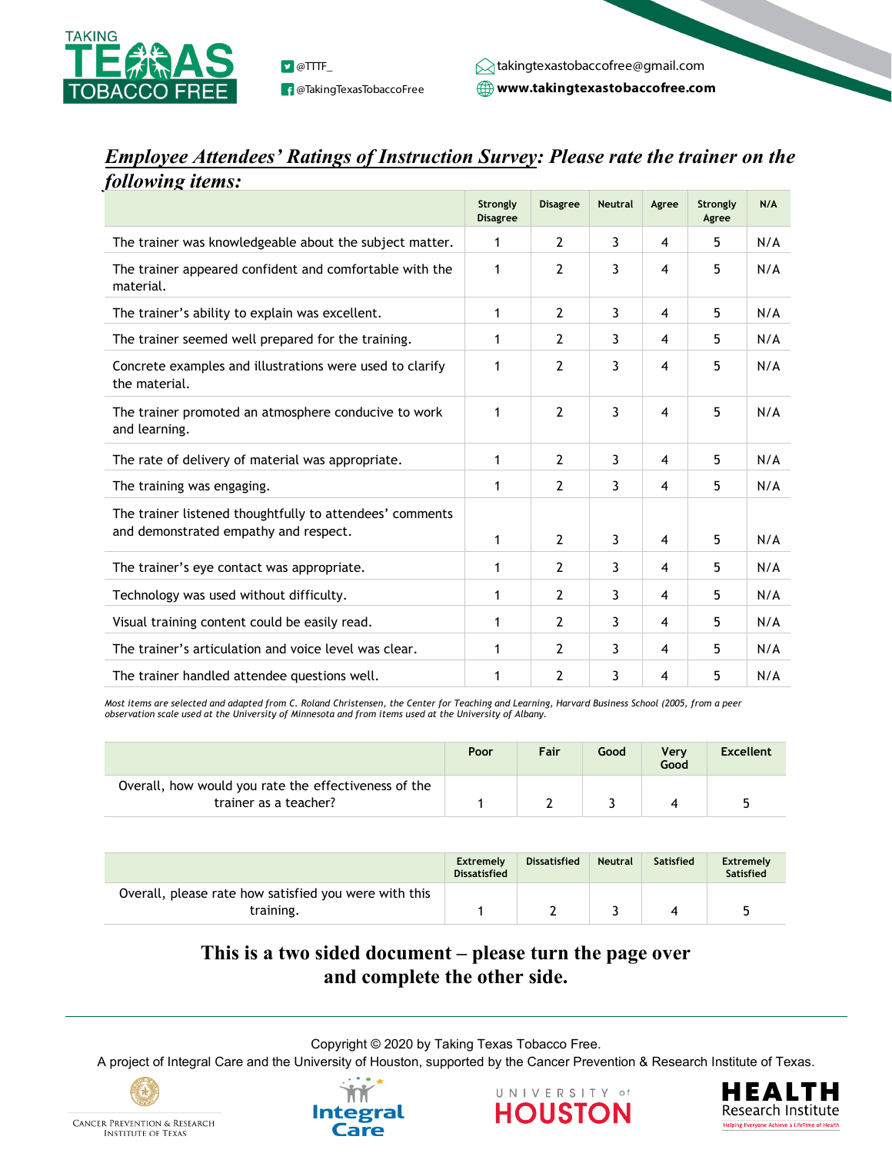

**f** @TakingTexasTobaccoFree

**www.takingtexastobaccofree.com D** @TTTF\_ takingtexastobaccofree@gmail.com

## *Employee Attendees' Ratings of Instruction Survey: Please rate the trainer on the following items:*

|                                                                                                   | Strongly<br><b>Disagree</b> | <b>Disagree</b> | <b>Neutral</b> | Agree                   | Strongly<br>Agree | N/A |
|---------------------------------------------------------------------------------------------------|-----------------------------|-----------------|----------------|-------------------------|-------------------|-----|
| The trainer was knowledgeable about the subject matter.                                           | 1                           | 2               | 3              | 4                       | 5                 | N/A |
| The trainer appeared confident and comfortable with the<br>material.                              | 1                           | 2               | 3              | 4                       | 5                 | N/A |
| The trainer's ability to explain was excellent.                                                   | 1                           | 2               | 3              | 4                       | 5                 | N/A |
| The trainer seemed well prepared for the training.                                                | 1                           | 2               | 3              | 4                       | 5                 | N/A |
| Concrete examples and illustrations were used to clarify<br>the material.                         | 1                           | $\overline{2}$  | 3              | 4                       | 5                 | N/A |
| The trainer promoted an atmosphere conducive to work<br>and learning.                             | 1                           | 2               | 3              | $\overline{\mathbf{4}}$ | 5                 | N/A |
| The rate of delivery of material was appropriate.                                                 | 1                           | $\overline{2}$  | 3              | 4                       | 5                 | N/A |
| The training was engaging.                                                                        | 1                           | 2               | 3              | 4                       | 5                 | N/A |
| The trainer listened thoughtfully to attendees' comments<br>and demonstrated empathy and respect. | 1                           | 2               | 3              | 4                       | 5                 | N/A |
| The trainer's eye contact was appropriate.                                                        | 1                           | 2               | 3              | 4                       | 5                 | N/A |
| Technology was used without difficulty.                                                           | 1                           | 2               | 3              | 4                       | 5                 | N/A |
| Visual training content could be easily read.                                                     | 1                           | 2               | 3              | 4                       | 5                 | N/A |
| The trainer's articulation and voice level was clear.                                             | 1                           | 2               | 3              | 4                       | 5                 | N/A |
| The trainer handled attendee questions well.                                                      | 1                           | 2               | 3              | 4                       | 5                 | N/A |

*Most items are selected and adapted from C. Roland Christensen, the Center for Teaching and Learning, Harvard Business School (2005, from a peer observation scale used at the University of Minnesota and from items used at the University of Albany.* 

|                                                                               | Poor | Fair | Good | Verv<br>Good | <b>Excellent</b> |
|-------------------------------------------------------------------------------|------|------|------|--------------|------------------|
| Overall, how would you rate the effectiveness of the<br>trainer as a teacher? |      |      |      |              |                  |

|                                                                    | <b>Extremely</b><br><b>Dissatisfied</b> | <b>Dissatisfied</b> | <b>Neutral</b> | <b>Satisfied</b> | <b>Extremely</b><br><b>Satisfied</b> |
|--------------------------------------------------------------------|-----------------------------------------|---------------------|----------------|------------------|--------------------------------------|
| Overall, please rate how satisfied you were with this<br>training. |                                         |                     |                |                  |                                      |

## **This is a two sided document – please turn the page over and complete the other side.**

Copyright © 2020 by Taking Texas Tobacco Free.

A project of Integral Care and the University of Houston, supported by the Cancer Prevention & Research Institute of Texas.



**INSTITUTE OF TEXAS**